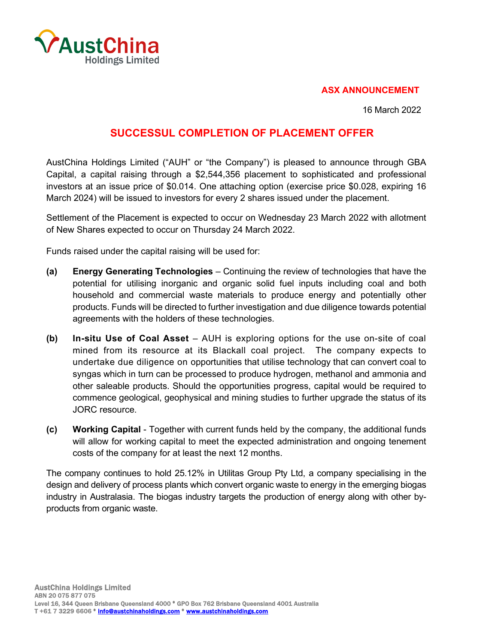

## **ASX ANNOUNCEMENT**

16 March 2022

## **SUCCESSUL COMPLETION OF PLACEMENT OFFER**

AustChina Holdings Limited ("AUH" or "the Company") is pleased to announce through GBA Capital, a capital raising through a \$2,544,356 placement to sophisticated and professional investors at an issue price of \$0.014. One attaching option (exercise price \$0.028, expiring 16 March 2024) will be issued to investors for every 2 shares issued under the placement.

Settlement of the Placement is expected to occur on Wednesday 23 March 2022 with allotment of New Shares expected to occur on Thursday 24 March 2022.

Funds raised under the capital raising will be used for:

- **(a) Energy Generating Technologies**  Continuing the review of technologies that have the potential for utilising inorganic and organic solid fuel inputs including coal and both household and commercial waste materials to produce energy and potentially other products. Funds will be directed to further investigation and due diligence towards potential agreements with the holders of these technologies.
- **(b) In-situ Use of Coal Asset**  AUH is exploring options for the use on-site of coal mined from its resource at its Blackall coal project. The company expects to undertake due diligence on opportunities that utilise technology that can convert coal to syngas which in turn can be processed to produce hydrogen, methanol and ammonia and other saleable products. Should the opportunities progress, capital would be required to commence geological, geophysical and mining studies to further upgrade the status of its JORC resource.
- **(c) Working Capital**  Together with current funds held by the company, the additional funds will allow for working capital to meet the expected administration and ongoing tenement costs of the company for at least the next 12 months.

The company continues to hold 25.12% in Utilitas Group Pty Ltd, a company specialising in the design and delivery of process plants which convert organic waste to energy in the emerging biogas industry in Australasia. The biogas industry targets the production of energy along with other byproducts from organic waste.